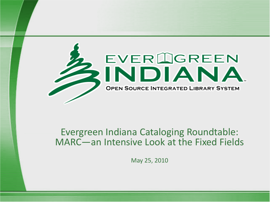

#### Evergreen Indiana Cataloging Roundtable: MARC—an Intensive Look at the Fixed Fields

May 25, 2010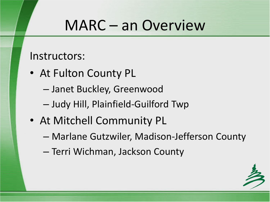#### MARC – an Overview

Instructors:

- At Fulton County PL
	- Janet Buckley, Greenwood
	- Judy Hill, Plainfield-Guilford Twp
- At Mitchell Community PL
	- Marlane Gutzwiler, Madison-Jefferson County
	- Terri Wichman, Jackson County

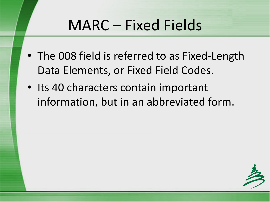- The 008 field is referred to as Fixed-Length Data Elements, or Fixed Field Codes.
- Its 40 characters contain important information, but in an abbreviated form.

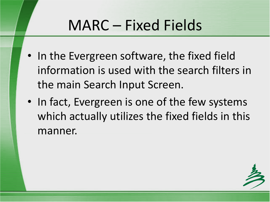- In the Evergreen software, the fixed field information is used with the search filters in the main Search Input Screen.
- In fact, Evergreen is one of the few systems which actually utilizes the fixed fields in this manner.

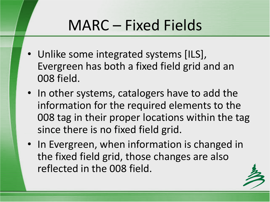- Unlike some integrated systems [ILS], Evergreen has both a fixed field grid and an 008 field.
- In other systems, catalogers have to add the information for the required elements to the 008 tag in their proper locations within the tag since there is no fixed field grid.
- In Evergreen, when information is changed in the fixed field grid, those changes are also reflected in the 008 field.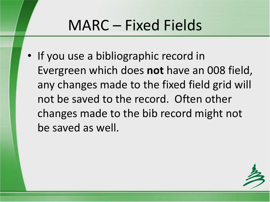• If you use a bibliographic record in Evergreen which does **not** have an 008 field, any changes made to the fixed field grid will not be saved to the record. Often other changes made to the bib record might not be saved as well.

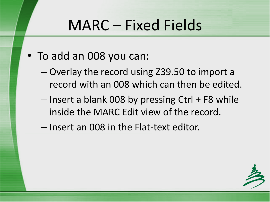- To add an 008 you can:
	- Overlay the record using Z39.50 to import a record with an 008 which can then be edited.
	- $-$  Insert a blank 008 by pressing Ctrl + F8 while inside the MARC Edit view of the record.
	- Insert an 008 in the Flat-text editor.

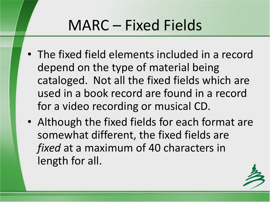- The fixed field elements included in a record depend on the type of material being cataloged. Not all the fixed fields which are used in a book record are found in a record for a video recording or musical CD.
- Although the fixed fields for each format are somewhat different, the fixed fields are *fixed* at a maximum of 40 characters in length for all.

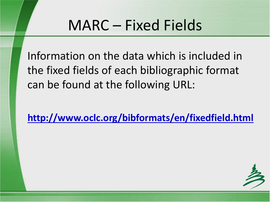Information on the data which is included in the fixed fields of each bibliographic format can be found at the following URL:

**http://www.oclc.org/bibformats/en/fixedfield.html**

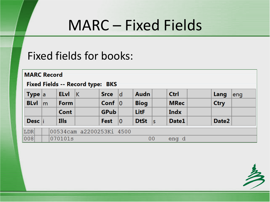#### Fixed fields for books:

|     |                   |    | <b>MARC Record</b> |             | Fixed Fields -- Record type: BKS |             |    |             |    |             |             |     |
|-----|-------------------|----|--------------------|-------------|----------------------------------|-------------|----|-------------|----|-------------|-------------|-----|
|     | <b>Type</b> $ a $ |    |                    | <b>ELvI</b> | ΙK                               | <b>Srce</b> | ld | <b>Audn</b> |    | <b>Ctrl</b> | Lang        | eng |
|     | <b>BLvl</b>       | lm |                    | Form        |                                  | Conf $ 0 $  |    | <b>Biog</b> |    | <b>MRec</b> | <b>Ctry</b> |     |
|     |                   |    |                    | Cont        |                                  | <b>GPub</b> |    | <b>LitF</b> |    | <b>Indx</b> |             |     |
|     | Desc i            |    |                    | <b>Ills</b> |                                  | <b>Fest</b> | 10 | <b>DtSt</b> | ∣s | Date1       | Date2       |     |
| LDR |                   |    |                    |             | 00534cam a2200253Ki 4500         |             |    |             |    |             |             |     |
| 008 |                   |    |                    | 070101s     |                                  |             |    | 00          |    | eng d       |             |     |

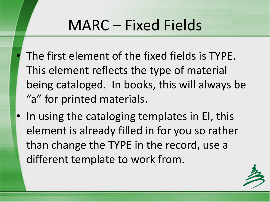- The first element of the fixed fields is TYPE. This element reflects the type of material being cataloged. In books, this will always be "a" for printed materials.
- In using the cataloging templates in EI, this element is already filled in for you so rather than change the TYPE in the record, use a different template to work from.

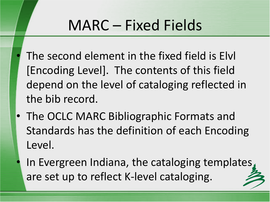- The second element in the fixed field is Elvl [Encoding Level]. The contents of this field depend on the level of cataloging reflected in the bib record.
- The OCLC MARC Bibliographic Formats and Standards has the definition of each Encoding Level.
	- In Evergreen Indiana, the cataloging templates, are set up to reflect K-level cataloging.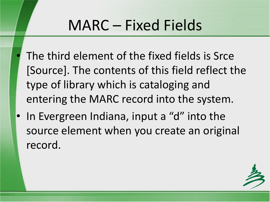- The third element of the fixed fields is Srce [Source]. The contents of this field reflect the type of library which is cataloging and entering the MARC record into the system.
- In Evergreen Indiana, input a "d" into the source element when you create an original record.

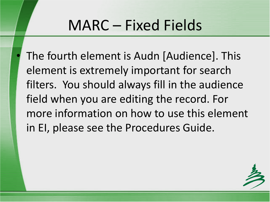The fourth element is Audn [Audience]. This element is extremely important for search filters. You should always fill in the audience field when you are editing the record. For more information on how to use this element in EI, please see the Procedures Guide.

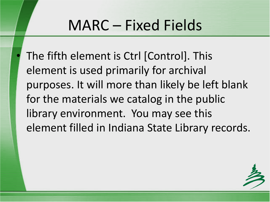The fifth element is Ctrl [Control]. This element is used primarily for archival purposes. It will more than likely be left blank for the materials we catalog in the public library environment. You may see this element filled in Indiana State Library records.

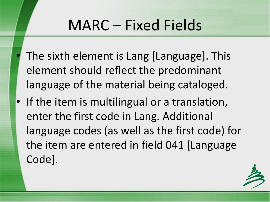- The sixth element is Lang [Language]. This element should reflect the predominant language of the material being cataloged.
- If the item is multilingual or a translation, enter the first code in Lang. Additional language codes (as well as the first code) for the item are entered in field 041 [Language Code].

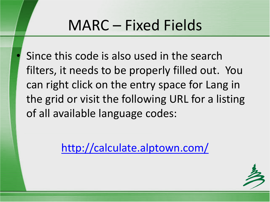Since this code is also used in the search filters, it needs to be properly filled out. You can right click on the entry space for Lang in the grid or visit the following URL for a listing of all available language codes:

<http://calculate.alptown.com/>

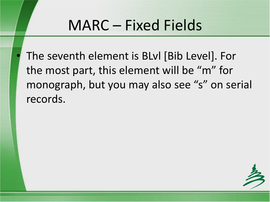The seventh element is BLvl [Bib Level]. For the most part, this element will be "m" for monograph, but you may also see "s" on serial records.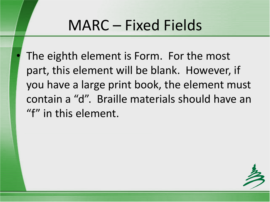The eighth element is Form. For the most part, this element will be blank. However, if you have a large print book, the element must contain a "d". Braille materials should have an "f" in this element.

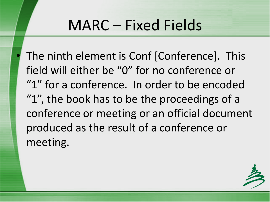The ninth element is Conf [Conference]. This field will either be "0" for no conference or "1" for a conference. In order to be encoded "1", the book has to be the proceedings of a conference or meeting or an official document produced as the result of a conference or meeting.

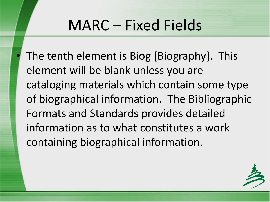The tenth element is Biog [Biography]. This element will be blank unless you are cataloging materials which contain some type of biographical information. The Bibliographic Formats and Standards provides detailed information as to what constitutes a work containing biographical information.

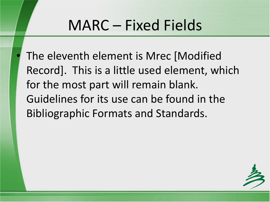The eleventh element is Mrec [Modified Record]. This is a little used element, which for the most part will remain blank. Guidelines for its use can be found in the Bibliographic Formats and Standards.

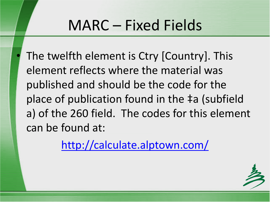The twelfth element is Ctry [Country]. This element reflects where the material was published and should be the code for the place of publication found in the ‡a (subfield a) of the 260 field. The codes for this element can be found at:

<http://calculate.alptown.com/>

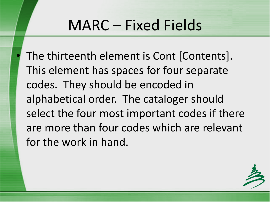The thirteenth element is Cont [Contents]. This element has spaces for four separate codes. They should be encoded in alphabetical order. The cataloger should select the four most important codes if there are more than four codes which are relevant for the work in hand.

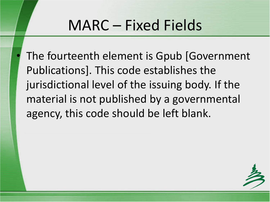The fourteenth element is Gpub [Government] Publications]. This code establishes the jurisdictional level of the issuing body. If the material is not published by a governmental agency, this code should be left blank.

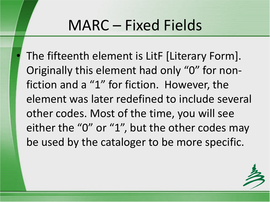The fifteenth element is LitF [Literary Form]. Originally this element had only "0" for nonfiction and a "1" for fiction. However, the element was later redefined to include several other codes. Most of the time, you will see either the "0" or "1", but the other codes may be used by the cataloger to be more specific.

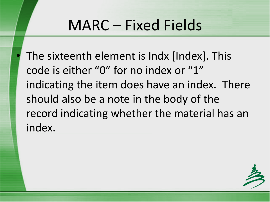The sixteenth element is Indx [Index]. This code is either "0" for no index or "1" indicating the item does have an index. There should also be a note in the body of the record indicating whether the material has an index.

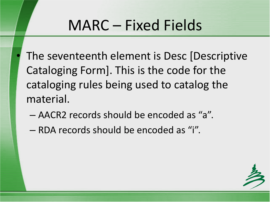- The seventeenth element is Desc [Descriptive Cataloging Form]. This is the code for the cataloging rules being used to catalog the material.
	- AACR2 records should be encoded as "a".
	- RDA records should be encoded as "i".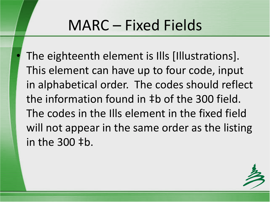The eighteenth element is Ills [Illustrations]. This element can have up to four code, input in alphabetical order. The codes should reflect the information found in ‡b of the 300 field. The codes in the Ills element in the fixed field will not appear in the same order as the listing in the 300 ‡b.

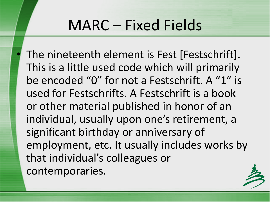The nineteenth element is Fest [Festschrift]. This is a little used code which will primarily be encoded "0" for not a Festschrift. A "1" is used for Festschrifts. A Festschrift is a book or other material published in honor of an individual, usually upon one's retirement, a significant birthday or anniversary of employment, etc. It usually includes works by that individual's colleagues or contemporaries.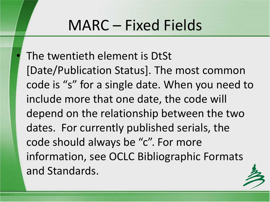The twentieth element is DtSt [Date/Publication Status]. The most common code is "s" for a single date. When you need to include more that one date, the code will depend on the relationship between the two dates. For currently published serials, the code should always be "c". For more information, see OCLC Bibliographic Formats and Standards.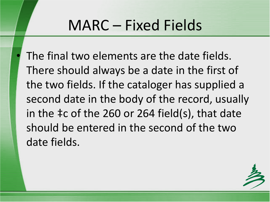The final two elements are the date fields. There should always be a date in the first of the two fields. If the cataloger has supplied a second date in the body of the record, usually in the ‡c of the 260 or 264 field(s), that date should be entered in the second of the two date fields.

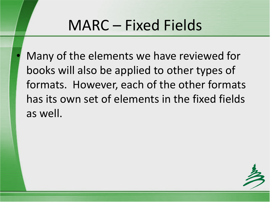Many of the elements we have reviewed for books will also be applied to other types of formats. However, each of the other formats has its own set of elements in the fixed fields as well.

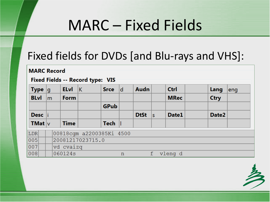#### Fixed fields for DVDs [and Blu-rays and VHS]:

**MARC Record** 

#### Fixed Fields -- Record type: VIS

|                   | <b>Type</b> $ q $ |              | <b>ELvI</b>      |             | K                        | <b>Srce</b> | d           | <b>Audn</b> |    | <b>Ctrl</b> |  | Lang        | eng |
|-------------------|-------------------|--------------|------------------|-------------|--------------------------|-------------|-------------|-------------|----|-------------|--|-------------|-----|
| <b>BLvI</b>       |                   | $\mathsf{m}$ | Form             |             |                          |             |             |             |    | <b>MRec</b> |  | <b>Ctry</b> |     |
|                   |                   |              |                  |             |                          | <b>GPub</b> |             |             |    |             |  |             |     |
|                   | Desc  i           |              |                  |             |                          |             |             | <b>DtSt</b> | İs | Date1       |  | Date2       |     |
| <b>TMat</b> $ v $ |                   |              |                  | <b>Time</b> |                          | $Tech$      |             |             |    |             |  |             |     |
| LDR               |                   |              |                  |             | 00818cgm a2200385Ki 4500 |             |             |             |    |             |  |             |     |
| 005               |                   |              | 20081217023715.0 |             |                          |             |             |             |    |             |  |             |     |
| 007               |                   |              | vd cvaizq        |             |                          |             |             |             |    |             |  |             |     |
| 008               |                   |              |                  | 060124s     |                          |             | $\mathbf n$ |             | f  | vleng d     |  |             |     |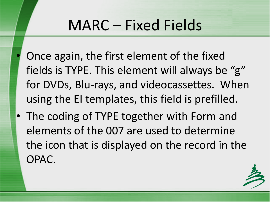- Once again, the first element of the fixed fields is TYPE. This element will always be "g" for DVDs, Blu-rays, and videocassettes. When using the EI templates, this field is prefilled.
- The coding of TYPE together with Form and elements of the 007 are used to determine the icon that is displayed on the record in the OPAC.

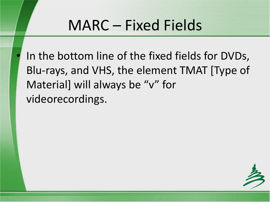In the bottom line of the fixed fields for DVDs, Blu-rays, and VHS, the element TMAT [Type of Material] will always be "v" for videorecordings.

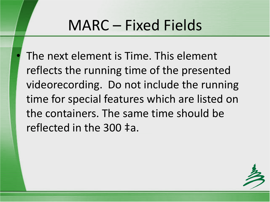The next element is Time. This element reflects the running time of the presented videorecording. Do not include the running time for special features which are listed on the containers. The same time should be reflected in the 300 ‡a.

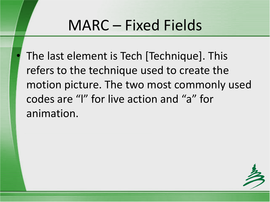• The last element is Tech [Technique]. This refers to the technique used to create the motion picture. The two most commonly used codes are "l" for live action and "a" for animation.

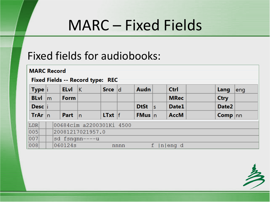#### Fixed fields for audiobooks:

|                     | <b>MARC Record</b><br>Fixed Fields -- Record type: REC |                          |                         |                   |      |                   |    |             |                    |     |  |  |
|---------------------|--------------------------------------------------------|--------------------------|-------------------------|-------------------|------|-------------------|----|-------------|--------------------|-----|--|--|
| Type  i             |                                                        | <b>ELvI</b>              | $\overline{\mathsf{K}}$ | Srce d            |      | Audn              |    | Ctrl        | Lang               | eng |  |  |
| <b>BLvI</b>         | $\mathsf{Im}$                                          | <b>Form</b>              |                         |                   |      |                   |    | <b>MRec</b> | <b>Ctry</b>        |     |  |  |
| Desc  i             |                                                        |                          |                         |                   |      | DtSt $ s $        |    | Date1       | Date2              |     |  |  |
| TrAr $ n $          |                                                        | Part $ n $               |                         | <b>LTxt</b> $ f $ |      | <b>FMus</b> $ n $ |    | <b>AccM</b> | <b>Comp</b> $ nn $ |     |  |  |
| $\vert$ LDR $\vert$ |                                                        | 00684cim a2200301Ki 4500 |                         |                   |      |                   |    |             |                    |     |  |  |
| $\overline{005}$    | 20081217021957.0                                       |                          |                         |                   |      |                   |    |             |                    |     |  |  |
| 007                 |                                                        |                          | sd fsngnn----u          |                   |      |                   |    |             |                    |     |  |  |
| 008                 |                                                        | 060124s                  |                         |                   | nnnn |                   | f. | $ n $ eng d |                    |     |  |  |

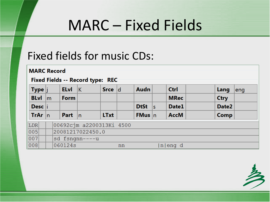#### Fixed fields for music CDs:

|                  | <b>MARC Record</b><br>Fixed Fields -- Record type: REC |                          |                  |             |    |                   |  |             |             |     |  |  |  |
|------------------|--------------------------------------------------------|--------------------------|------------------|-------------|----|-------------------|--|-------------|-------------|-----|--|--|--|
| Type j           |                                                        | <b>ELvI</b>              | $\mathsf{K}$     | Srce d      |    | Audn              |  | Ctrl        | Lang        | eng |  |  |  |
| <b>BLvl</b> $ m$ |                                                        | <b>Form</b>              |                  |             |    |                   |  | <b>MRec</b> | <b>Ctry</b> |     |  |  |  |
| Desc  i          |                                                        |                          |                  |             |    | DtSt $ s $        |  | Date1       | Date2       |     |  |  |  |
| TrAr $ n $       |                                                        | <b>Part</b> $\ln$        |                  | <b>LTxt</b> |    | <b>FMus</b> $ n $ |  | <b>AccM</b> | Comp        |     |  |  |  |
| LDR              |                                                        | 00692cjm a2200313Ki 4500 |                  |             |    |                   |  |             |             |     |  |  |  |
| 005              |                                                        |                          | 20081217022450.0 |             |    |                   |  |             |             |     |  |  |  |
| 007              |                                                        |                          | sd fsngnn----u   |             |    |                   |  |             |             |     |  |  |  |
| 008              |                                                        | 060124s                  |                  |             | nn |                   |  | n eng d     |             |     |  |  |  |

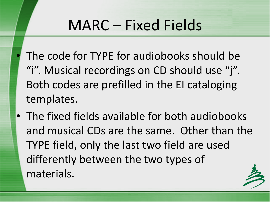- The code for TYPE for audiobooks should be "i". Musical recordings on CD should use "j". Both codes are prefilled in the EI cataloging templates.
- The fixed fields available for both audiobooks and musical CDs are the same. Other than the TYPE field, only the last two field are used differently between the two types of materials.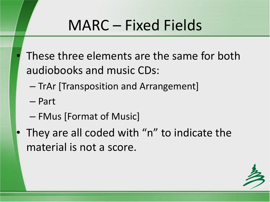- These three elements are the same for both audiobooks and music CDs:
	- TrAr [Transposition and Arrangement]
	- Part
	- FMus [Format of Music]
- They are all coded with "n" to indicate the material is not a score.

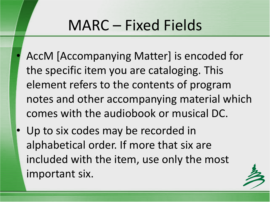- AccM [Accompanying Matter] is encoded for the specific item you are cataloging. This element refers to the contents of program notes and other accompanying material which comes with the audiobook or musical DC.
- Up to six codes may be recorded in alphabetical order. If more that six are included with the item, use only the most important six.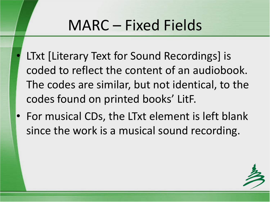- LTxt [Literary Text for Sound Recordings] is coded to reflect the content of an audiobook. The codes are similar, but not identical, to the codes found on printed books' LitF.
- For musical CDs, the LTxt element is left blank since the work is a musical sound recording.

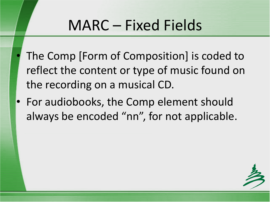- The Comp [Form of Composition] is coded to reflect the content or type of music found on the recording on a musical CD.
- For audiobooks, the Comp element should always be encoded "nn", for not applicable.

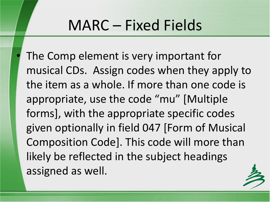The Comp element is very important for musical CDs. Assign codes when they apply to the item as a whole. If more than one code is appropriate, use the code "mu" [Multiple forms], with the appropriate specific codes given optionally in field 047 [Form of Musical Composition Code]. This code will more than likely be reflected in the subject headings assigned as well.

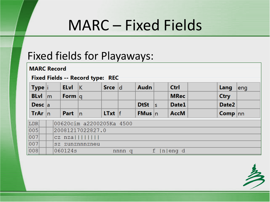#### Fixed fields for Playaways:

| <b>MARC Record</b> |               |             |                                  |           |        |                   |                 |             |                    |     |
|--------------------|---------------|-------------|----------------------------------|-----------|--------|-------------------|-----------------|-------------|--------------------|-----|
|                    |               |             | Fixed Fields -- Record type: REC |           |        |                   |                 |             |                    |     |
| Type <b>i</b>      |               | <b>ELvI</b> | $\overline{\mathsf{K}}$          | Srce d    |        | Audn              |                 | <b>Ctrl</b> | Lang               | eng |
| <b>BLvI</b>        | $\mathsf{Im}$ | Form $ q $  |                                  |           |        |                   |                 | <b>MRec</b> | <b>Ctry</b>        |     |
| Desc $ a $         |               |             |                                  |           |        | <b>DtSt</b>       | İs              | Date1       | Date <sub>2</sub>  |     |
| TrAr $ n $         |               | <b>Part</b> | $\ln$                            | $LTxt$  f |        | <b>FMus</b> $ n $ |                 | <b>AccM</b> | <b>Comp</b> $ nn $ |     |
| LDR                |               |             | 00620cim a2200205Ka 4500         |           |        |                   |                 |             |                    |     |
| 005                |               |             | 20081217022827.0                 |           |        |                   |                 |             |                    |     |
| 007                |               |             | $cz$ nza $          $            |           |        |                   |                 |             |                    |     |
| 007                |               |             | sz zunznnnzneu                   |           |        |                   |                 |             |                    |     |
| 008                |               | 060124s     |                                  |           | nnnn q |                   | $f_{\parallel}$ | n eng d     |                    |     |

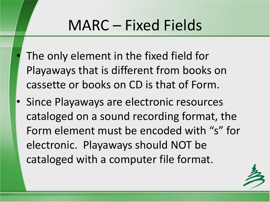- The only element in the fixed field for Playaways that is different from books on cassette or books on CD is that of Form.
- Since Playaways are electronic resources cataloged on a sound recording format, the Form element must be encoded with "s" for electronic. Playaways should NOT be cataloged with a computer file format.